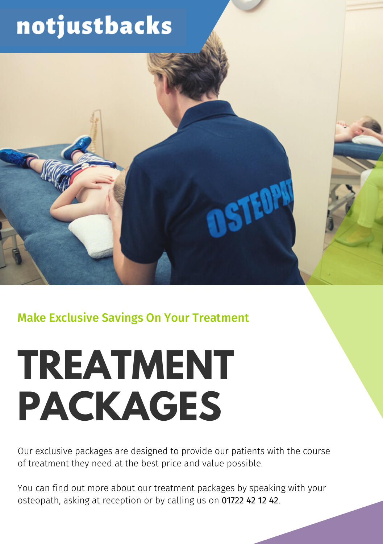# notjustbacks

Make Exclusive Savings On Your Treatment

# **TREATMENT PACKAGES**

Our exclusive packages are designed to provide our patients with the course of treatment they need at the best price and value possible.

**NSTEDPA** 

You can find out more about our treatment packages by speaking with your osteopath, asking at reception or by calling us on 01722 42 12 42.